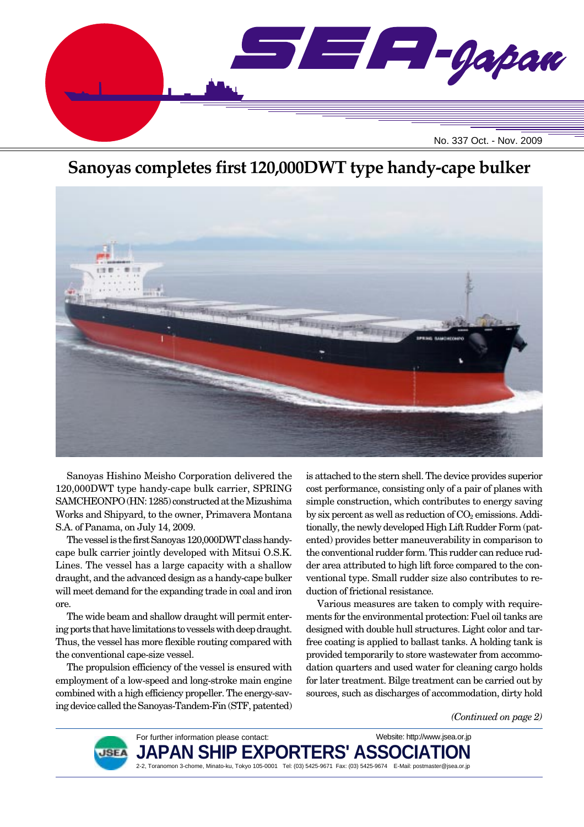

# **Sanoyas completes first 120,000DWT type handy-cape bulker**



Sanoyas Hishino Meisho Corporation delivered the 120,000DWT type handy-cape bulk carrier, SPRING SAMCHEONPO (HN: 1285) constructed at the Mizushima Works and Shipyard, to the owner, Primavera Montana S.A. of Panama, on July 14, 2009.

The vessel is the first Sanoyas 120,000DWT class handycape bulk carrier jointly developed with Mitsui O.S.K. Lines. The vessel has a large capacity with a shallow draught, and the advanced design as a handy-cape bulker will meet demand for the expanding trade in coal and iron ore.

The wide beam and shallow draught will permit entering ports that have limitations to vessels with deep draught. Thus, the vessel has more flexible routing compared with the conventional cape-size vessel.

The propulsion efficiency of the vessel is ensured with employment of a low-speed and long-stroke main engine combined with a high efficiency propeller. The energy-saving device called the Sanoyas-Tandem-Fin (STF, patented) is attached to the stern shell. The device provides superior cost performance, consisting only of a pair of planes with simple construction, which contributes to energy saving by six percent as well as reduction of  $CO<sub>2</sub>$  emissions. Additionally, the newly developed High Lift Rudder Form (patented) provides better maneuverability in comparison to the conventional rudder form. This rudder can reduce rudder area attributed to high lift force compared to the conventional type. Small rudder size also contributes to reduction of frictional resistance.

Various measures are taken to comply with requirements for the environmental protection: Fuel oil tanks are designed with double hull structures. Light color and tarfree coating is applied to ballast tanks. A holding tank is provided temporarily to store wastewater from accommodation quarters and used water for cleaning cargo holds for later treatment. Bilge treatment can be carried out by sources, such as discharges of accommodation, dirty hold

*(Continued on page 2)*



For further information please contact: JAPAN SHIP EXPORTERS' ASSO 2-2, Toranomon 3-chome, Minato-ku, Tokyo 105-0001 Tel: (03) 5425-9671 Fax: (03) 5425-9674 E-Mail: postmaster@jsea.or.jp Website: http://www.jsea.or.jp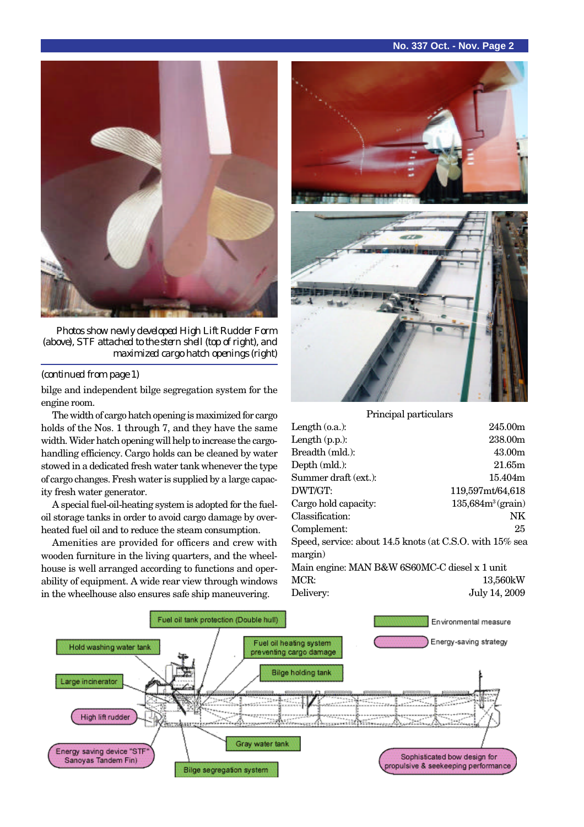### **No. 337 Oct. - Nov. Page 2**



*Photos show newly developed High Lift Rudder Form (above), STF attached to the stern shell (top of right), and maximized cargo hatch openings (right)*

#### *(continued from page 1)*

bilge and independent bilge segregation system for the engine room.

The width of cargo hatch opening is maximized for cargo holds of the Nos. 1 through 7, and they have the same width. Wider hatch opening will help to increase the cargohandling efficiency. Cargo holds can be cleaned by water stowed in a dedicated fresh water tank whenever the type of cargo changes. Fresh water is supplied by a large capacity fresh water generator.

A special fuel-oil-heating system is adopted for the fueloil storage tanks in order to avoid cargo damage by overheated fuel oil and to reduce the steam consumption.

Amenities are provided for officers and crew with wooden furniture in the living quarters, and the wheelhouse is well arranged according to functions and operability of equipment. A wide rear view through windows in the wheelhouse also ensures safe ship maneuvering.



Principal particulars

| Length $(o.a.):$                                            | 245.00m              |
|-------------------------------------------------------------|----------------------|
| Length $(p.p.):$                                            | 238.00m              |
| Breadth (mld.):                                             | 43.00m               |
| Depth (mld.):                                               | 21.65m               |
| Summer draft (ext.):                                        | 15.404m              |
| DWT/GT:                                                     | 119,597mt/64,618     |
| Cargo hold capacity:                                        | $135,684m^3$ (grain) |
| Classification:                                             | NK                   |
| Complement:                                                 | 25                   |
| Speed, service: about 14.5 knots (at C.S.O. with $15\%$ sea |                      |
| margin)                                                     |                      |
| Main engine: MAN B&W 6S60MC-C diesel x 1 unit               |                      |
| MCR:                                                        | 13.560kW             |
| Delivery:                                                   | July 14, 2009        |
|                                                             |                      |

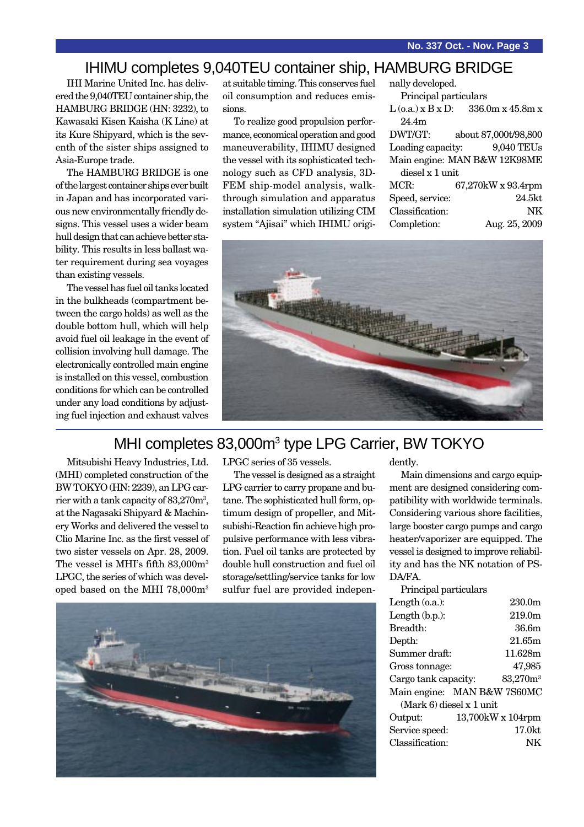## IHIMU completes 9,040TEU container ship, HAMBURG BRIDGE

IHI Marine United Inc. has delivered the 9,040TEU container ship, the HAMBURG BRIDGE (HN: 3232), to Kawasaki Kisen Kaisha (K Line) at its Kure Shipyard, which is the seventh of the sister ships assigned to Asia-Europe trade.

The HAMBURG BRIDGE is one of the largest container ships ever built in Japan and has incorporated various new environmentally friendly designs. This vessel uses a wider beam hull design that can achieve better stability. This results in less ballast water requirement during sea voyages than existing vessels.

The vessel has fuel oil tanks located in the bulkheads (compartment between the cargo holds) as well as the double bottom hull, which will help avoid fuel oil leakage in the event of collision involving hull damage. The electronically controlled main engine is installed on this vessel, combustion conditions for which can be controlled under any load conditions by adjusting fuel injection and exhaust valves

at suitable timing. This conserves fuel oil consumption and reduces emissions.

To realize good propulsion performance, economical operation and good maneuverability, IHIMU designed the vessel with its sophisticated technology such as CFD analysis, 3D-FEM ship-model analysis, walkthrough simulation and apparatus installation simulation utilizing CIM system "Ajisai" which IHIMU origi-

| nally developed.             |                                      |  |
|------------------------------|--------------------------------------|--|
| Principal particulars        |                                      |  |
|                              | $L$ (0.a.) x B x D: 336.0m x 45.8m x |  |
| 24.4m                        |                                      |  |
| DWT/GT:                      | about 87,000t/98,800                 |  |
| Loading capacity:            | 9,040 TEUs                           |  |
| Main engine: MAN B&W 12K98ME |                                      |  |
| diesel x 1 unit              |                                      |  |
| MCR:                         | 67,270kW x 93.4rpm                   |  |
| Speed, service:              | 24.5kt                               |  |
| Classification:              | NK                                   |  |
| Completion:                  | Aug. 25, 2009                        |  |



## MHI completes 83,000m<sup>3</sup> type LPG Carrier, BW TOKYO

Mitsubishi Heavy Industries, Ltd. (MHI) completed construction of the BW TOKYO (HN: 2239), an LPG carrier with a tank capacity of  $83,\!270\mathrm{m}^3,$ at the Nagasaki Shipyard & Machinery Works and delivered the vessel to Clio Marine Inc. as the first vessel of two sister vessels on Apr. 28, 2009. The vessel is MHI's fifth 83,000m3 LPGC, the series of which was developed based on the MHI 78,000m3 LPGC series of 35 vessels.

The vessel is designed as a straight LPG carrier to carry propane and butane. The sophisticated hull form, optimum design of propeller, and Mitsubishi-Reaction fin achieve high propulsive performance with less vibration. Fuel oil tanks are protected by double hull construction and fuel oil storage/settling/service tanks for low sulfur fuel are provided indepen-



dently.

Main dimensions and cargo equipment are designed considering compatibility with worldwide terminals. Considering various shore facilities, large booster cargo pumps and cargo heater/vaporizer are equipped. The vessel is designed to improve reliability and has the NK notation of PS-DA/FA.

| 230.0 <sub>m</sub>          |  |
|-----------------------------|--|
| 219.0m                      |  |
| 36.6m                       |  |
| 21.65m                      |  |
| 11.628m                     |  |
| 47,985                      |  |
| $83,270m^3$                 |  |
| Main engine: MAN B&W 7S60MC |  |
| $(Mark 6)$ diesel x 1 unit  |  |
| 13,700kW x 104rpm           |  |
| 17.0kt                      |  |
| NK                          |  |
|                             |  |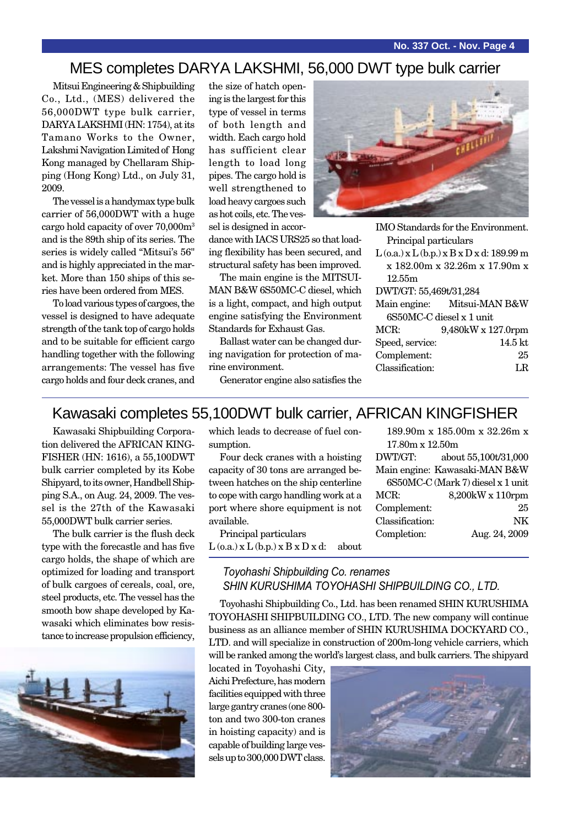## MES completes DARYA LAKSHMI, 56,000 DWT type bulk carrier

Mitsui Engineering & Shipbuilding Co., Ltd., (MES) delivered the 56,000DWT type bulk carrier, DARYA LAKSHMI (HN: 1754), at its Tamano Works to the Owner, Lakshmi Navigation Limited of Hong Kong managed by Chellaram Shipping (Hong Kong) Ltd., on July 31, 2009.

The vessel is a handymax type bulk carrier of 56,000DWT with a huge cargo hold capacity of over 70,000m3 and is the 89th ship of its series. The series is widely called "Mitsui's 56" and is highly appreciated in the market. More than 150 ships of this series have been ordered from MES.

To load various types of cargoes, the vessel is designed to have adequate strength of the tank top of cargo holds and to be suitable for efficient cargo handling together with the following arrangements: The vessel has five cargo holds and four deck cranes, and the size of hatch opening is the largest for this type of vessel in terms of both length and width. Each cargo hold has sufficient clear length to load long pipes. The cargo hold is well strengthened to load heavy cargoes such as hot coils, etc. The vessel is designed in accor-

dance with IACS URS25 so that loading flexibility has been secured, and structural safety has been improved.

The main engine is the MITSUI-MAN B&W 6S50MC-C diesel, which is a light, compact, and high output engine satisfying the Environment Standards for Exhaust Gas.

Ballast water can be changed during navigation for protection of marine environment.

Generator engine also satisfies the

| as: |  |
|-----|--|
|     |  |
|     |  |

IMO Standards for the Environment. Principal particulars

 $L$  (o.a.) x  $L$  (b.p.) x  $B$  x  $D$  x d: 189.99 m x 182.00m x 32.26m x 17.90m x 12.55m

DWT/GT: 55,469t/31,284

|                          | Main engine: Mitsui-MAN B&W |  |
|--------------------------|-----------------------------|--|
| 6S50MC-C diesel x 1 unit |                             |  |
| MCR:                     | 9,480kW x 127.0rpm          |  |
| Speed, service:          | $14.5$ kt                   |  |
| Complement:              | 25                          |  |
| Classification:          | LR.                         |  |

## Kawasaki completes 55,100DWT bulk carrier, AFRICAN KINGFISHER

Kawasaki Shipbuilding Corporation delivered the AFRICAN KING-FISHER (HN: 1616), a 55,100DWT bulk carrier completed by its Kobe Shipyard, to its owner, Handbell Shipping S.A., on Aug. 24, 2009. The vessel is the 27th of the Kawasaki 55,000DWT bulk carrier series.

The bulk carrier is the flush deck type with the forecastle and has five cargo holds, the shape of which are optimized for loading and transport of bulk cargoes of cereals, coal, ore, steel products, etc. The vessel has the smooth bow shape developed by Kawasaki which eliminates bow resistance to increase propulsion efficiency,



which leads to decrease of fuel consumption.

Four deck cranes with a hoisting capacity of 30 tons are arranged between hatches on the ship centerline to cope with cargo handling work at a port where shore equipment is not available.

Principal particulars  $L$  (o.a.)  $x L$  (b.p.)  $x B x D x d$ : about

|                 | 189.90m x 185.00m x 32.26m x      |
|-----------------|-----------------------------------|
| 17.80m x 12.50m |                                   |
| DWT/GT:         | about 55,100t/31,000              |
|                 | Main engine: Kawasaki-MAN B&W     |
|                 | 6S50MC-C (Mark 7) diesel x 1 unit |
| MCR:            | 8,200kW x 110rpm                  |
| Complement:     | 25                                |
| Classification: | NK                                |
| Completion:     | Aug. 24, 2009                     |
|                 |                                   |

### *Toyohashi Shipbuilding Co. renames SHIN KURUSHIMA TOYOHASHI SHIPBUILDING CO., LTD.*

Toyohashi Shipbuilding Co., Ltd. has been renamed SHIN KURUSHIMA TOYOHASHI SHIPBUILDING CO., LTD. The new company will continue business as an alliance member of SHIN KURUSHIMA DOCKYARD CO., LTD. and will specialize in construction of 200m-long vehicle carriers, which will be ranked among the world's largest class, and bulk carriers. The shipyard

located in Toyohashi City, Aichi Prefecture, has modern facilities equipped with three large gantry cranes (one 800 ton and two 300-ton cranes in hoisting capacity) and is capable of building large vessels up to 300,000 DWT class.

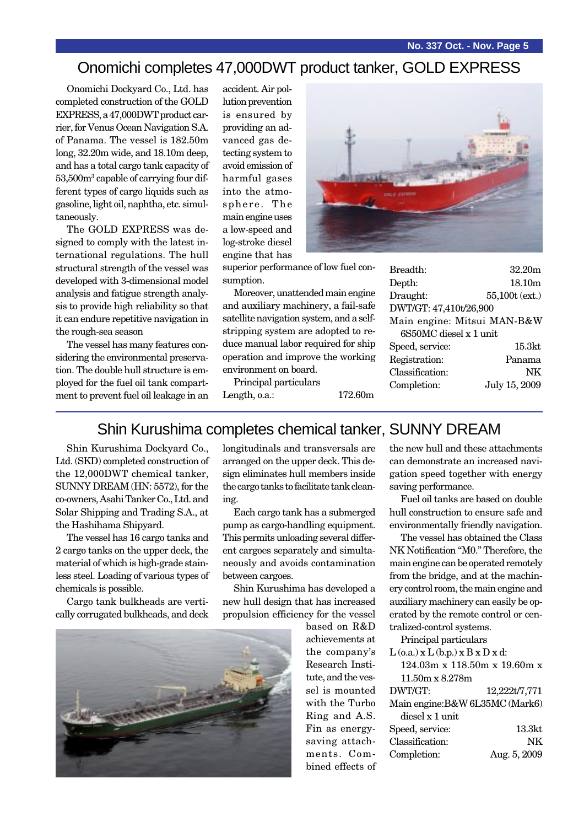## Onomichi completes 47,000DWT product tanker, GOLD EXPRESS

Onomichi Dockyard Co., Ltd. has completed construction of the GOLD EXPRESS, a 47,000DWT product carrier, for Venus Ocean Navigation S.A. of Panama. The vessel is 182.50m long, 32.20m wide, and 18.10m deep, and has a total cargo tank capacity of 53,500m<sup>3</sup> capable of carrying four different types of cargo liquids such as gasoline, light oil, naphtha, etc. simultaneously.

The GOLD EXPRESS was designed to comply with the latest international regulations. The hull structural strength of the vessel was developed with 3-dimensional model analysis and fatigue strength analysis to provide high reliability so that it can endure repetitive navigation in the rough-sea season

The vessel has many features considering the environmental preservation. The double hull structure is employed for the fuel oil tank compartment to prevent fuel oil leakage in an accident. Air pollution prevention is ensured by providing an advanced gas detecting system to avoid emission of harmful gases into the atmosphere. The main engine uses a low-speed and log-stroke diesel engine that has



superior performance of low fuel consumption.

Moreover, unattended main engine and auxiliary machinery, a fail-safe satellite navigation system, and a selfstripping system are adopted to reduce manual labor required for ship operation and improve the working environment on board.

Principal particulars Length, o.a.: 172.60m

| Breadth:                    | 32.20m             |  |
|-----------------------------|--------------------|--|
| Depth:                      | 18.10 <sub>m</sub> |  |
| Draught:                    | 55,100t (ext.)     |  |
| DWT/GT: 47,410t/26,900      |                    |  |
| Main engine: Mitsui MAN-B&W |                    |  |
| 6S50MC diesel x 1 unit      |                    |  |
| Speed, service:             | 15.3kt             |  |
| Registration:               | Panama             |  |
| Classification:             | NK                 |  |
| Completion:                 | July 15, 2009      |  |
|                             |                    |  |

## Shin Kurushima completes chemical tanker, SUNNY DREAM

Shin Kurushima Dockyard Co., Ltd. (SKD) completed construction of the 12,000DWT chemical tanker, SUNNY DREAM (HN: 5572), for the co-owners, Asahi Tanker Co., Ltd. and Solar Shipping and Trading S.A., at the Hashihama Shipyard.

The vessel has 16 cargo tanks and 2 cargo tanks on the upper deck, the material of which is high-grade stainless steel. Loading of various types of chemicals is possible.

Cargo tank bulkheads are vertically corrugated bulkheads, and deck

longitudinals and transversals are arranged on the upper deck. This design eliminates hull members inside the cargo tanks to facilitate tank cleaning.

Each cargo tank has a submerged pump as cargo-handling equipment. This permits unloading several different cargoes separately and simultaneously and avoids contamination between cargoes.

Shin Kurushima has developed a new hull design that has increased propulsion efficiency for the vessel



based on R&D achievements at the company's Research Institute, and the vessel is mounted with the Turbo Ring and A.S. Fin as energysaving attachments. Combined effects of the new hull and these attachments can demonstrate an increased navigation speed together with energy saving performance.

Fuel oil tanks are based on double hull construction to ensure safe and environmentally friendly navigation.

The vessel has obtained the Class NK Notification "M0." Therefore, the main engine can be operated remotely from the bridge, and at the machinery control room, the main engine and auxiliary machinery can easily be operated by the remote control or centralized-control systems.

Principal particulars

| $L$ (o.a.) x $L$ (b.p.) x $B$ x $D$ x d: |               |
|------------------------------------------|---------------|
| 124.03m x 118.50m x 19.60m x             |               |
| $11.50m \times 8.278m$                   |               |
| DWT/GT:                                  | 12,222t/7,771 |
| Main engine: B&W 6L35MC (Mark6)          |               |
| diesel x 1 unit                          |               |
| Speed, service:                          | 13.3kt        |
| Classification:                          | NK            |
| Completion:                              | Aug. 5, 2009  |
|                                          |               |